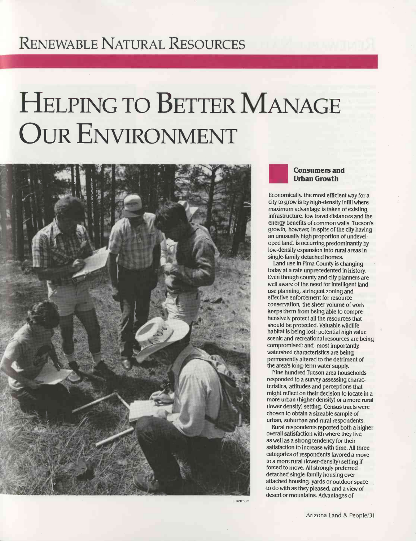# RENEWABLE NATURAL RESOURCES

# HELPING TO BETTER MANAGE OUR ENVIRONMENT



L. Ketchum



Economically, the most efficient way for a city to grow is by high -density infili where maximum advantage is taken of existing infrastructure, low travel distances and the energy benefits of common walls. Tucson's growth, however in spite of the city having an unusually high proportion of undeveloped land, is occurring predominantly by low- density expansion into rural areas in single -family detached homes.

Land use in Pima County is changing today at a rate unprecedented in history. Even though county and city planners are well aware of the need for intelligent land use planning, stringent zoning and effective enforcement for resource conservation, the sheer volume of work keeps them from being able to comprehensively protect all the resources that should be protected. Valuable wildlife habitat is being lost; potential high value scenic and recreational resources are being compromised; and, most importantly, watershed characteristics are being permanently altered to the detriment of the area's long -term water supply.

Nine hundred Tucson area households responded to a survey assessing characteristics, attitudes and perceptions that might reflect on their decision to locate in a more urban (higher density) or a more rural (lower density) setting. Census tracts were chosen to obtain a sizeable sample of urban, suburban and rural respondents.

Rural respondents reported both a higher overall satisfaction with where they live, as well as a strong tendency for their satisfaction to increase with time. All three categories of respondents favored a move to a more rural (lower- density) setting if forced to move. All strongly preferred detached single -family housing over attached housing, yards or outdoor space to do with as they pleased, and a view of desert or mountains. Advantages of

Arizona Land & People/31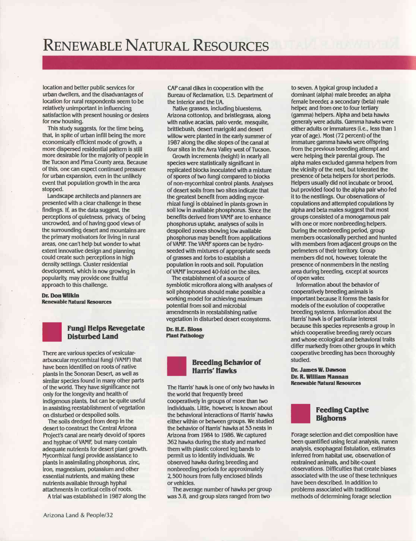location and better public services for urban dwellers, and the disadvantages of location for rural respondents seem to be relatively unimportant in influencing satisfaction with present housing or desires for new housing.

This study suggests, for the time being, that, in spite of urban infill being the more economically efficient mode of growth, a more dispersed residential pattern is still more desirable for the majority of people in the Tucson and Pima County area. Because of this, one can expect continued pressure for urban expansion, even in the unlikely event that population growth in the area stopped.

Landscape architects and planners are presented with a clear challenge in these findings. If, as the data suggest, the perceptions of quietness, privacy, of being uncrowded, and of having good views of the surrounding desert and mountains are the primary motivators for living in rural areas, one can't help but wonder to what extent innovative design and planning could create such perceptions in high density settings. Cluster residential development, which is now growing in popularity, may provide one fruitful approach to this challenge.

#### Dr. Don Wilkin Renewable Natural Resources



### Fungi Helps Revegetate Disturbed Land

There are various species of vesiculararbuscular mycorrhizal fungi (VAMF) that have been identified on roots of native plants in the Sonoran Desert, as well as similar species found in many other parts of the world. They have significance not only for the longevity and health of indigenous plants, but can be quite useful in assisting reestablishment of vegetation on disturbed or despoiled soils.

The soils dredged from deep in the desert to construct the Central Arizona Project's canal are nearly devoid of spores and hyphae of VAMF, but many contain adequate nutrients for desert plant growth. Mycorrhizal fungi provide assistance to plants in assimilating phosphorus, zinc, iron, magnesium, potassium and other essential nutrients, and making these nutrients available through hyphal attachments in cortical cells of roots.

A trial was established in 1987 along the

CAP canal dikes in cooperation with the Bureau of Reclamation, U.S. Department of the Interior and the UA.

Native grasses, including bluestems, Arizona cottontop, and bristlegrass, along with native acacias, palo verde, mesquite, brittlebush, desert marigold and desert willow were planted in the early summer of 1987 along the dike slopes of the canal at four sites in the Avra Valley west of Tucson.

Growth increments (height) in nearly all species were statistically significant in replicated blocks inoculated with a mixture of spores of two fungi compared to blocks of non -mycorrhizal control plants. Analyses of desert soils from two sites indicate that the greatest benefit from adding mycorrhizal fungi is obtained in plants grown in soil low in available phosphorus. Since the benefits derived from VAMF are to enhance phosphorus uptake, analyses of soils in despoiled zones showing low available phosphorus may benefit from applications of VAMF. The VAMF spores can be hydroseeded with mixtures of appropriate seeds of grasses and (orbs to establish a population in roots and soil. Population of VAMF increased 40 -fold on the sites.

The estabishment of a source of symbiotic microflora along with analyses of soil phosphorus should make possible a working model for achieving maximum potential from soil and microbial amendments in reestablishing native vegetation in disturbed desert ecosystems.

Dr. H.E. Bloss Plant Pathology



The Harris' hawk is one of only two hawks in the world that frequently breed cooperatively in groups of more than two individuals. Little, however is known about the behavioral interactions of Harris' hawks either within or between groups. We studied the behavior of Harris' hawks at 53 nests in Arizona from 1984 to 1986. We captured 362 hawks during the study and marked them with plastic colored leg bands to permit us to identify individuals. We observed hawks during breeding and nonbreeding periods for approximately 2,500 hours from fully enclosed blinds or vehicles.

The average number of hawks per group was 3.8, and group sizes ranged from two

to seven. A typical group included a dominant (alpha) male breeder an alpha female breeder a secondary (beta) male helper and from one to four tertiary (gamma) helpers. Alpha and beta hawks generaly were adults. Gamma hawks were either adults or immatures (i.e., less than 1 year of age). Most (72 percent) of the immature gamma hawks were offspring from the previous breeding attempt and were helping their parental group. The alpha males excluded gamma helpers from the vicinity of the nest, but tolerated the presence of beta helpers for short periods. Helpers usually did not incubate or brood, but provided food to the alpha pair who fed it to the nestlings. Our observations of copulations and attempted copulations by alpha and beta males suggest that most groups consisted of a monogamous pair with one or more nonbreeding helpers. During the nonbreeding period, group members occasionally perched and hunted with members from adjacent groups on the perimeters of their territory. Group members did not, however tolerate the presence of nonmembers in the nesting area during breeding, except at sources of open water.

Information about the behavior of cooperatively breeding animals is important because it forms the basis for models of the evolution of cooperative breeding systems. Information about the Harris' hawk is of particular interest because this species represents a group in which cooperative breeding rarely occurs and whose ecological and behavioral traits differ markedly from other groups in which cooperative breeding has been thoroughly studied.

Dr. James W. Dawson Dr. R. William Mannan Renewable Natural Resources



Forage selection and diet composition have been quantified using fecal analysis, rumen analysis, esophageal fistulation, estimates inferred from habitat use, observation of restrained animals, and bite -count observations. Difficulties that create biases associated with the use of these techniques have been described. In addition to problems associated with traditional methods of determining forage selection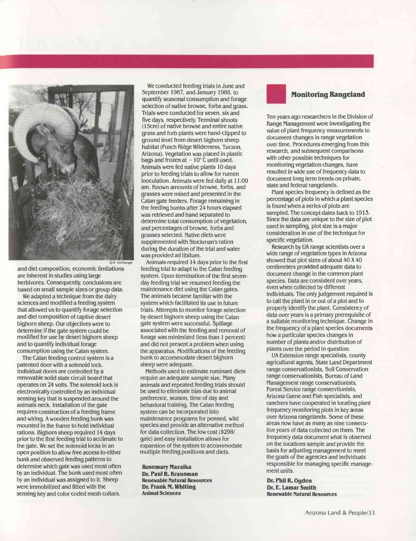

and diet composition, economic limitations are inherent in studies using large herbivores. Consequently, conclusions are based on small sample sizes or group data.

We adapted a technique from the dairy sciences and modified a feeding system that allowed us to quantify forage selection and diet composition of captive desert bighorn sheep. Our objectives were to determine if the gate system could be modified for use by desert bighorn sheep and to quantify individual forage consumption using the Calan system.

The Calan feeding control system is a patented door with a solenoid lock. Individual doors are controlled by a removable solid state circuit board that operates on 24 volts. The solenoid lock is electronically controlled by an individual sensing key that is suspended around the animals neck. Installation of the gate requires construction of a feeding frame and wiring. A wooden feeding bunk was mounted in the frame to hold individual rations. Bighorn sheep required 14 days prior to the first feeding trial to acclimate to the gate. We set the solenoid locks in an open position to allow free access to either bunk and observed feeding patterns to determine which gate was used most often by an individual. The bunk used most often by an individual was assigned to it. Sheep were immobilized and fitted with the sensing key and color coded mesh collars.

We conducted feeding trials in June and September 1987, and January 1988, to quantify seasonal consumption and forage selection of native browse, forbs and grass. Trials were conducted for seven, six and five days, respectively. Terminal shoots (15cm) of native browse and entire native grass and forb plants were hand -clipped to ground level from desert bighorn sheep habitat (Pusch Ridge Wilderness, Tucson, Arizona). Vegetation was placed in plastic bags and frozen at  $-10^{\circ}$  C until used. Animals were fed native plants 10 days prior to feeding trials to allow for rumen inoculation. Animals were fed daily at 11:00 am. Known amounts of browse, forbs, and grasses were mixed and presented in the Calan gate feeders. Forage remaining in the feeding bunks after 24 hours elapsed was retrieved and hand separated to determine total consumption of vegetation, and percentages of browse, forbs and grasses selected. Native diets were supplemented with Stockman's ration during the duration of the trial and water was provided ad libitum.

Animals required 14 days prior to the first feeding trial to adapt to the Calan feeding system. Upon termination of the first sevenday feeding trial we resumed feeding the maintenance diet using the Calan gates. The animals became familiar with the system which facilitated its use in future trials. Attempts to monitor forage selection by desert bighorn sheep using the Calan gate system were successful. Spillage associated with the feeding and removal of forage was minimized (less than 1 percent) and did not present a problem when using the apparatus. Modifications of the feeding bunk to accommodate desert bighorn sheep were adequate.

Methods used to estimate ruminant diets require an adequate sample size. Many animals and repeated feeding trials should be used to eliminate bias due to animal preference, season, time of day and behavioral training. The Calan feeding system can be incorporated into maintenance programs for penned, wild species and provide an alternative method for data collection. The low cost (\$298/ gate) and easy installation allows for expansion of the system to accommodate multiple feeding positions and diets.

Rosemary Mazaika Dr. Paul R. Krausman Renewable Natural Resources Dr. Frank M. Whiting Animal Sciences

## Monitoring Rangeland

Ten years ago researchers in the Division of Range Management were investigating the value of plant frequency measurements to document changes in range vegetation over time. Procedures emerging from this research, and subsequent comparisons with other possible techniques for monitoring vegetation changes, have resulted in wide use of frequency data to document long term trends on private, state and federal rangelands.

Plant species frequency is defined as the percentage of plots in which a plant species is found when a series of plots are sampled. The concept dates back to 1913. Since the data are unique to the size of plot used in sampling, plot size is a major consideration in use of the technique for specific vegetation.

Research by UA range scientists over a wide range of vegetation types in Arizona showed that plot sizes of about 40 X 40 centimeters provided adequate data to document change in the common plant species. Data are consistent over years, even when collected by different individuals. The only judgement required is to call the plant in or out of a plot and to properly identify the plant. Consistency of data over years is a primary prerequisite of a suitable monitoring technique. Change in the frequency of a plant species documents how a particular species changes in number of plants and/or distribution of plants over the period in question.

UA Extension range specialists, county agricultural agents, State Land Department range conservationists, Soil Conservation range conservationists, Bureau of Land Management range conservationists, Forest Service range conservtionists, Arizona Game and Fish specialists, and ranchers have cooperated in locating plant frequency monitoring plots in key areas over Arizona rangelands. Some of these areas now have as many as nine consecutive years of data collected on them. The frequency data document what is observed on the locations sample and provide the basis for adjusting management to meet the goals of the agencies and individuals responsible for managing specific management units.

Dr. Phil R. Ogden Dr. E. Lamar Smith Renewable Natural Resources